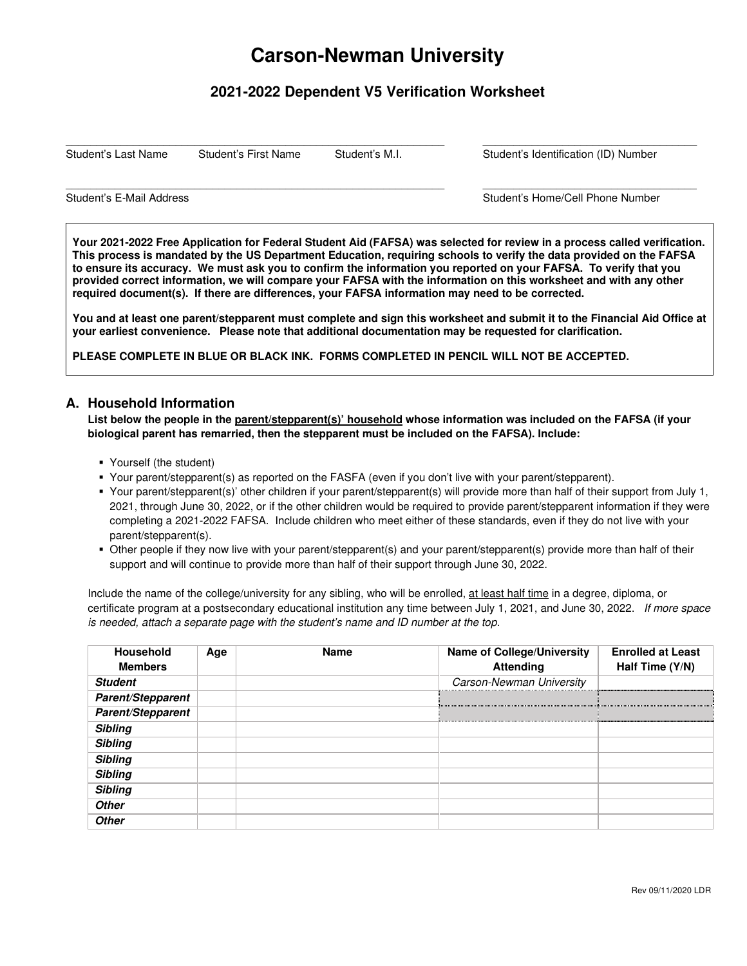# **Carson-Newman University**

# **2021-2022 Dependent V5 Verification Worksheet**

 $\_$  ,  $\_$  ,  $\_$  ,  $\_$  ,  $\_$  ,  $\_$  ,  $\_$  ,  $\_$  ,  $\_$  ,  $\_$  ,  $\_$  ,  $\_$  ,  $\_$  ,  $\_$  ,  $\_$  ,  $\_$  ,  $\_$  ,  $\_$  ,  $\_$  ,  $\_$  ,  $\_$  ,  $\_$  ,  $\_$  ,  $\_$  ,  $\_$  ,  $\_$  ,  $\_$  ,  $\_$  ,  $\_$  ,  $\_$  ,  $\_$  ,  $\_$  ,  $\_$  ,  $\_$  ,  $\_$  ,  $\_$  ,  $\_$  ,

 $\_$  ,  $\_$  ,  $\_$  ,  $\_$  ,  $\_$  ,  $\_$  ,  $\_$  ,  $\_$  ,  $\_$  ,  $\_$  ,  $\_$  ,  $\_$  ,  $\_$  ,  $\_$  ,  $\_$  ,  $\_$  ,  $\_$  ,  $\_$  ,  $\_$  ,  $\_$  ,  $\_$  ,  $\_$  ,  $\_$  ,  $\_$  ,  $\_$  ,  $\_$  ,  $\_$  ,  $\_$  ,  $\_$  ,  $\_$  ,  $\_$  ,  $\_$  ,  $\_$  ,  $\_$  ,  $\_$  ,  $\_$  ,  $\_$  ,

Student's Last Name Student's First Name Student's M.I. Student's Identification (ID) Number

Student's E-Mail Address **Student's E-Mail Address** Student's Home/Cell Phone Number

**Your 2021-2022 Free Application for Federal Student Aid (FAFSA) was selected for review in a process called verification. This process is mandated by the US Department Education, requiring schools to verify the data provided on the FAFSA to ensure its accuracy. We must ask you to confirm the information you reported on your FAFSA. To verify that you provided correct information, we will compare your FAFSA with the information on this worksheet and with any other required document(s). If there are differences, your FAFSA information may need to be corrected.** 

**You and at least one parent/stepparent must complete and sign this worksheet and submit it to the Financial Aid Office at your earliest convenience. Please note that additional documentation may be requested for clarification.** 

**PLEASE COMPLETE IN BLUE OR BLACK INK. FORMS COMPLETED IN PENCIL WILL NOT BE ACCEPTED.** 

#### **A. Household Information**

**List below the people in the parent/stepparent(s)' household whose information was included on the FAFSA (if your biological parent has remarried, then the stepparent must be included on the FAFSA). Include:** 

- Yourself (the student)
- Your parent/stepparent(s) as reported on the FASFA (even if you don't live with your parent/stepparent).
- Your parent/stepparent(s)' other children if your parent/stepparent(s) will provide more than half of their support from July 1, 2021, through June 30, 2022, or if the other children would be required to provide parent/stepparent information if they were completing a 2021-2022 FAFSA. Include children who meet either of these standards, even if they do not live with your parent/stepparent(s).
- Other people if they now live with your parent/stepparent(s) and your parent/stepparent(s) provide more than half of their support and will continue to provide more than half of their support through June 30, 2022.

Include the name of the college/university for any sibling, who will be enrolled, at least half time in a degree, diploma, or certificate program at a postsecondary educational institution any time between July 1, 2021, and June 30, 2022. If more space is needed, attach a separate page with the student's name and ID number at the top.

| <b>Household</b><br><b>Members</b> | Age | <b>Name</b> | <b>Name of College/University</b><br><b>Attending</b> | <b>Enrolled at Least</b><br>Half Time (Y/N) |
|------------------------------------|-----|-------------|-------------------------------------------------------|---------------------------------------------|
| <b>Student</b>                     |     |             | Carson-Newman University                              |                                             |
| Parent/Stepparent                  |     |             |                                                       |                                             |
| Parent/Stepparent                  |     |             |                                                       |                                             |
| <b>Sibling</b>                     |     |             |                                                       |                                             |
| <b>Sibling</b>                     |     |             |                                                       |                                             |
| <b>Sibling</b>                     |     |             |                                                       |                                             |
| <b>Sibling</b>                     |     |             |                                                       |                                             |
| <b>Sibling</b>                     |     |             |                                                       |                                             |
| <b>Other</b>                       |     |             |                                                       |                                             |
| <b>Other</b>                       |     |             |                                                       |                                             |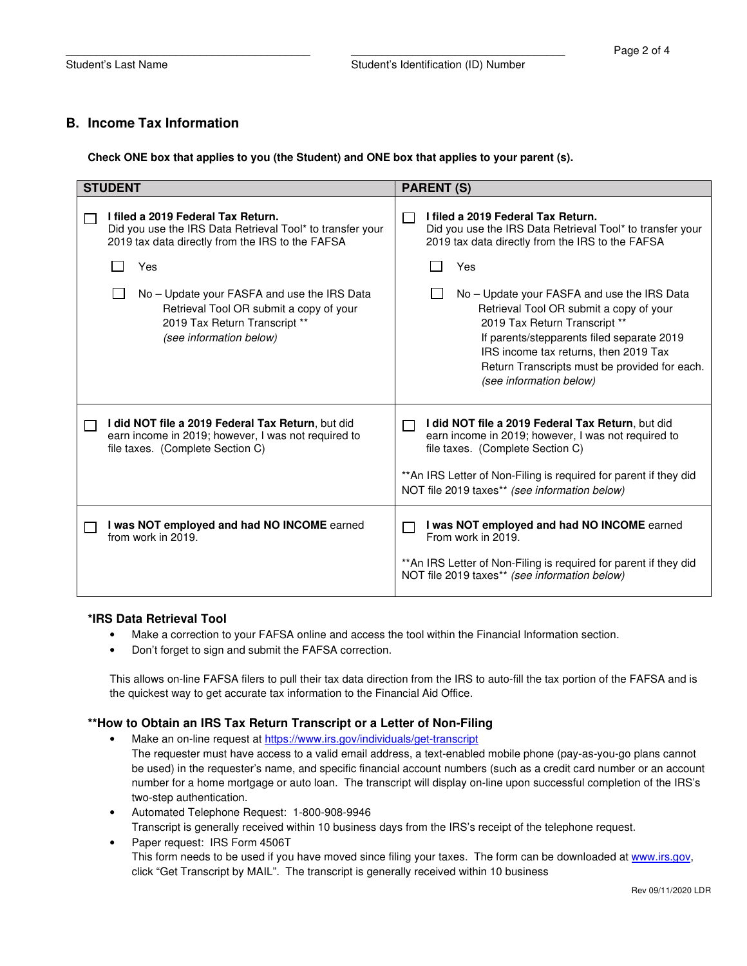## **B. Income Tax Information**

**Check ONE box that applies to you (the Student) and ONE box that applies to your parent (s).** 

| <b>STUDENT</b>                                                                                                                                      | <b>PARENT (S)</b>                                                                                                                                                                                                                                                                          |
|-----------------------------------------------------------------------------------------------------------------------------------------------------|--------------------------------------------------------------------------------------------------------------------------------------------------------------------------------------------------------------------------------------------------------------------------------------------|
| I filed a 2019 Federal Tax Return.<br>Did you use the IRS Data Retrieval Tool* to transfer your<br>2019 tax data directly from the IRS to the FAFSA | I filed a 2019 Federal Tax Return.<br>Did you use the IRS Data Retrieval Tool* to transfer your<br>2019 tax data directly from the IRS to the FAFSA                                                                                                                                        |
| Yes                                                                                                                                                 | Yes                                                                                                                                                                                                                                                                                        |
| No – Update your FASFA and use the IRS Data<br>Retrieval Tool OR submit a copy of your<br>2019 Tax Return Transcript **<br>(see information below)  | No – Update your FASFA and use the IRS Data<br>Retrieval Tool OR submit a copy of your<br>2019 Tax Return Transcript **<br>If parents/stepparents filed separate 2019<br>IRS income tax returns, then 2019 Tax<br>Return Transcripts must be provided for each.<br>(see information below) |
| I did NOT file a 2019 Federal Tax Return, but did<br>earn income in 2019; however, I was not required to<br>file taxes. (Complete Section C)        | I did NOT file a 2019 Federal Tax Return, but did<br>earn income in 2019; however, I was not required to<br>file taxes. (Complete Section C)<br>** An IRS Letter of Non-Filing is required for parent if they did<br>NOT file 2019 taxes** (see information below)                         |
| I was NOT employed and had NO INCOME earned<br>from work in 2019.                                                                                   | I was NOT employed and had NO INCOME earned<br>From work in 2019.<br>** An IRS Letter of Non-Filing is required for parent if they did<br>NOT file 2019 taxes** (see information below)                                                                                                    |

#### **\*IRS Data Retrieval Tool**

- Make a correction to your FAFSA online and access the tool within the Financial Information section.
- Don't forget to sign and submit the FAFSA correction.

This allows on-line FAFSA filers to pull their tax data direction from the IRS to auto-fill the tax portion of the FAFSA and is the quickest way to get accurate tax information to the Financial Aid Office.

#### **\*\*How to Obtain an IRS Tax Return Transcript or a Letter of Non-Filing**

- Make an on-line request at https://www.irs.gov/individuals/get-transcript
	- The requester must have access to a valid email address, a text-enabled mobile phone (pay-as-you-go plans cannot be used) in the requester's name, and specific financial account numbers (such as a credit card number or an account number for a home mortgage or auto loan. The transcript will display on-line upon successful completion of the IRS's two-step authentication.
- Automated Telephone Request: 1-800-908-9946 Transcript is generally received within 10 business days from the IRS's receipt of the telephone request.
- Paper request: IRS Form 4506T This form needs to be used if you have moved since filing your taxes. The form can be downloaded at www.irs.gov, click "Get Transcript by MAIL". The transcript is generally received within 10 business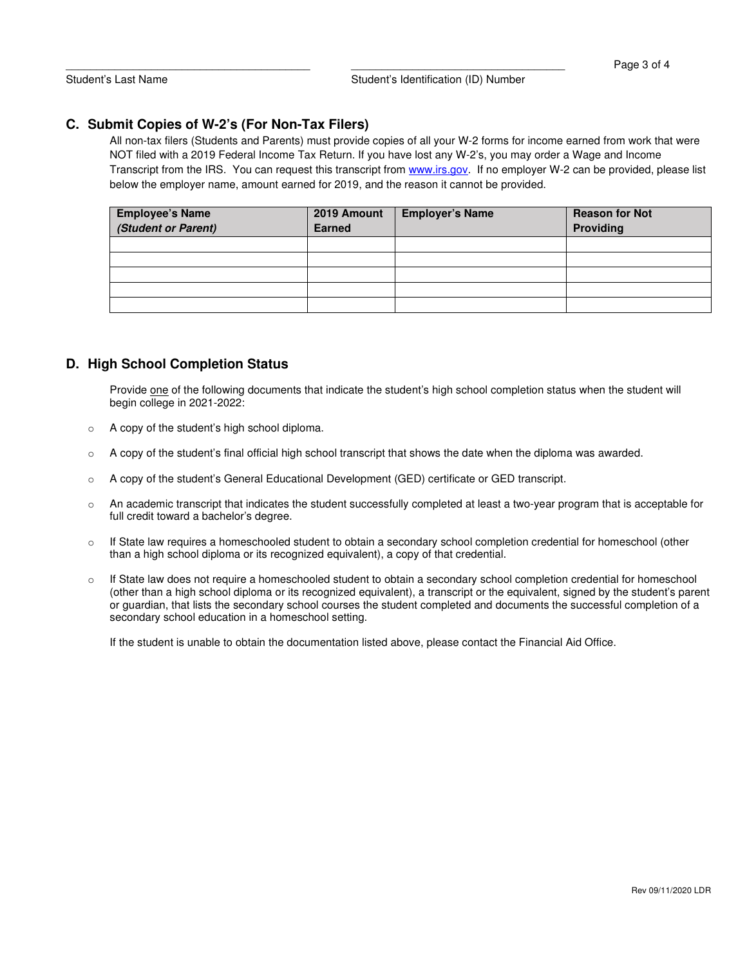### **C. Submit Copies of W-2's (For Non-Tax Filers)**

All non-tax filers (Students and Parents) must provide copies of all your W-2 forms for income earned from work that were NOT filed with a 2019 Federal Income Tax Return. If you have lost any W-2's, you may order a Wage and Income Transcript from the IRS. You can request this transcript from www.irs.gov. If no employer W-2 can be provided, please list below the employer name, amount earned for 2019, and the reason it cannot be provided.

| <b>Employee's Name</b><br>(Student or Parent) | 2019 Amount<br><b>Earned</b> | <b>Employer's Name</b> | <b>Reason for Not</b><br>Providing |
|-----------------------------------------------|------------------------------|------------------------|------------------------------------|
|                                               |                              |                        |                                    |
|                                               |                              |                        |                                    |
|                                               |                              |                        |                                    |
|                                               |                              |                        |                                    |
|                                               |                              |                        |                                    |

# **D. High School Completion Status**

Provide one of the following documents that indicate the student's high school completion status when the student will begin college in 2021-2022:

- o A copy of the student's high school diploma.
- $\circ$  A copy of the student's final official high school transcript that shows the date when the diploma was awarded.
- o A copy of the student's General Educational Development (GED) certificate or GED transcript.
- o An academic transcript that indicates the student successfully completed at least a two-year program that is acceptable for full credit toward a bachelor's degree.
- $\circ$  If State law requires a homeschooled student to obtain a secondary school completion credential for homeschool (other than a high school diploma or its recognized equivalent), a copy of that credential.
- $\circ$  If State law does not require a homeschooled student to obtain a secondary school completion credential for homeschool (other than a high school diploma or its recognized equivalent), a transcript or the equivalent, signed by the student's parent or guardian, that lists the secondary school courses the student completed and documents the successful completion of a secondary school education in a homeschool setting.

If the student is unable to obtain the documentation listed above, please contact the Financial Aid Office.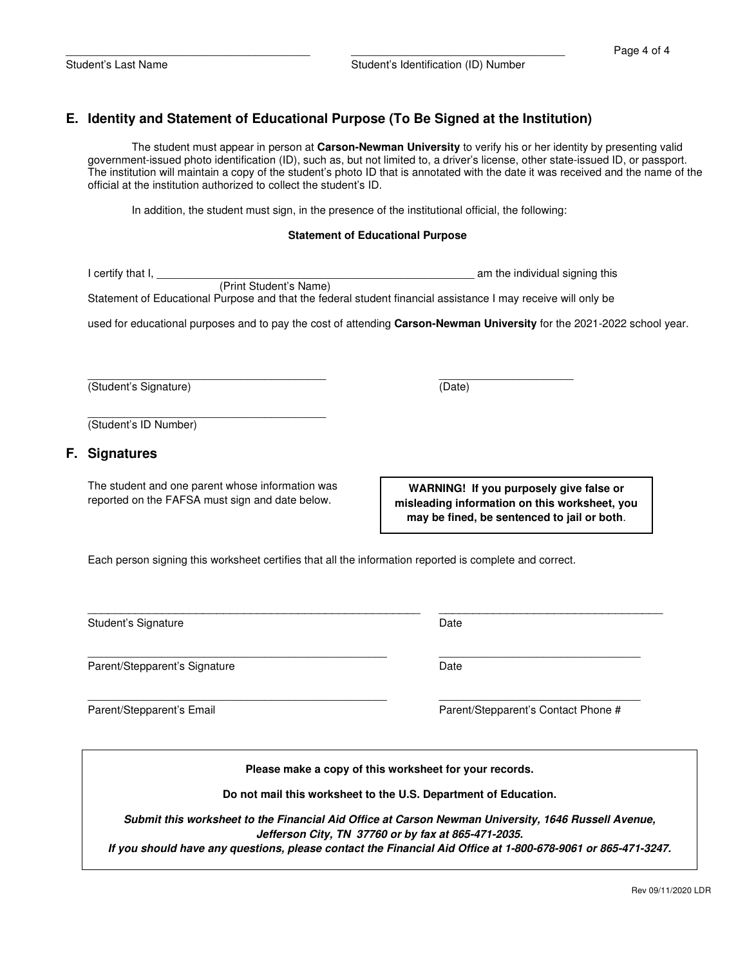# **E. Identity and Statement of Educational Purpose (To Be Signed at the Institution)**

The student must appear in person at **Carson-Newman University** to verify his or her identity by presenting valid government-issued photo identification (ID), such as, but not limited to, a driver's license, other state-issued ID, or passport. The institution will maintain a copy of the student's photo ID that is annotated with the date it was received and the name of the official at the institution authorized to collect the student's ID.

In addition, the student must sign, in the presence of the institutional official, the following:

#### **Statement of Educational Purpose**

| l certify that I, |                        | am the individual signing this                                                                                |
|-------------------|------------------------|---------------------------------------------------------------------------------------------------------------|
|                   | (Print Student's Name) |                                                                                                               |
|                   |                        | Statement of Educational Purpose and that the federal student financial assistance I may receive will only be |

used for educational purposes and to pay the cost of attending **Carson-Newman University** for the 2021-2022 school year.

 $\frac{1}{2}$  ,  $\frac{1}{2}$  ,  $\frac{1}{2}$  ,  $\frac{1}{2}$  ,  $\frac{1}{2}$  ,  $\frac{1}{2}$  ,  $\frac{1}{2}$  ,  $\frac{1}{2}$  ,  $\frac{1}{2}$  ,  $\frac{1}{2}$  ,  $\frac{1}{2}$  ,  $\frac{1}{2}$  ,  $\frac{1}{2}$  ,  $\frac{1}{2}$  ,  $\frac{1}{2}$  ,  $\frac{1}{2}$  ,  $\frac{1}{2}$  ,  $\frac{1}{2}$  ,  $\frac{1$ (Student's Signature) (Date)

(Student's ID Number)

#### **F. Signatures**

The student and one parent whose information was reported on the FAFSA must sign and date below.

 $\frac{1}{2}$  ,  $\frac{1}{2}$  ,  $\frac{1}{2}$  ,  $\frac{1}{2}$  ,  $\frac{1}{2}$  ,  $\frac{1}{2}$  ,  $\frac{1}{2}$  ,  $\frac{1}{2}$  ,  $\frac{1}{2}$  ,  $\frac{1}{2}$  ,  $\frac{1}{2}$  ,  $\frac{1}{2}$  ,  $\frac{1}{2}$  ,  $\frac{1}{2}$  ,  $\frac{1}{2}$  ,  $\frac{1}{2}$  ,  $\frac{1}{2}$  ,  $\frac{1}{2}$  ,  $\frac{1$ 

**WARNING! If you purposely give false or misleading information on this worksheet, you may be fined, be sentenced to jail or both**.

Each person signing this worksheet certifies that all the information reported is complete and correct.

Student's Signature Date

Parent/Stepparent's Signature Date

\_\_\_\_\_\_\_\_\_\_\_\_\_\_\_\_\_\_\_\_\_\_\_\_\_\_\_\_\_\_\_\_\_\_\_\_\_\_\_\_\_\_\_\_\_\_\_\_\_ \_\_\_\_\_\_\_\_\_\_\_\_\_\_\_\_\_\_\_\_\_\_\_\_\_\_\_\_\_\_\_\_\_ Parent/Stepparent's Email Parent/Stepparent's Contact Phone #

**Please make a copy of this worksheet for your records.** 

\_\_\_\_\_\_\_\_\_\_\_\_\_\_\_\_\_\_\_\_\_\_\_\_\_\_\_\_\_\_\_\_\_\_\_\_\_\_\_\_\_\_\_\_\_\_\_\_\_ \_\_\_\_\_\_\_\_\_\_\_\_\_\_\_\_\_\_\_\_\_\_\_\_\_\_\_\_\_\_\_\_\_

**Do not mail this worksheet to the U.S. Department of Education.** 

**Submit this worksheet to the Financial Aid Office at Carson Newman University, 1646 Russell Avenue, Jefferson City, TN 37760 or by fax at 865-471-2035.** 

**If you should have any questions, please contact the Financial Aid Office at 1-800-678-9061 or 865-471-3247.** 

\_\_\_\_\_\_\_\_\_\_\_\_\_\_\_\_\_\_\_\_\_\_\_\_\_\_\_\_\_\_\_\_\_\_\_\_\_\_\_\_\_\_\_\_\_\_\_\_\_ \_\_\_\_\_\_\_\_\_\_\_\_\_\_\_\_\_\_\_\_\_\_\_\_\_\_\_\_\_\_\_\_\_